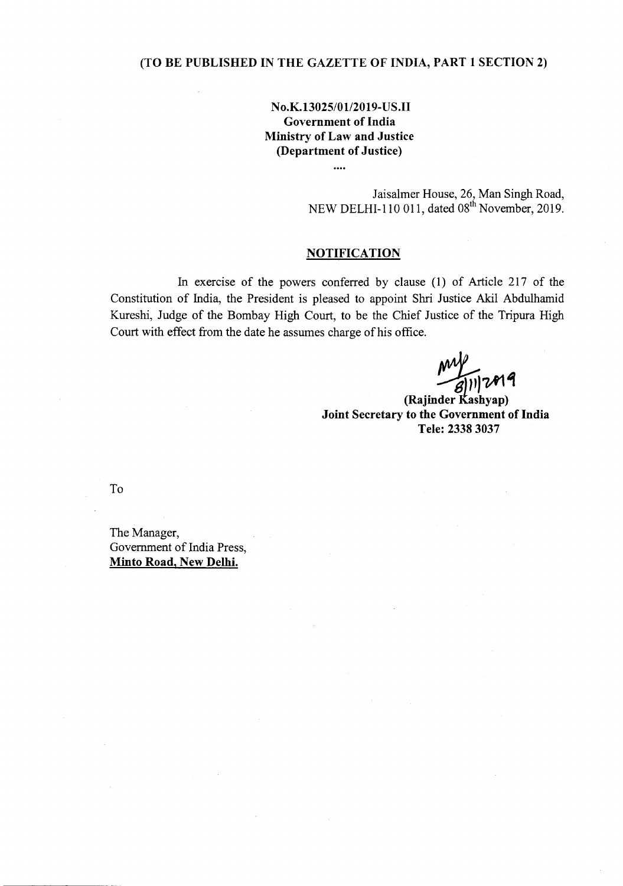## **(TO BE PUBLISHED IN THE GAZETTE OF INDIA, PART 1 SECTION 2)**

**No.K.1302S/01l2019-US.II Government of India Ministry of Law and Justice (Department of Justice)**

 $\cdots$ 

Jaisalmer House, 26, Man Singh Road, NEW DELHI-110 011, dated 08" November, 2019.

## **NOTIFICATION**

In exercise of the powers conferred by clause (l) of Article 217 of the Constitution of India, the President is pleased to appoint Shri Justice Akil Abdulhamid Kureshi, Judge of the Bombay High Court, to be the Chief Justice of the Tripura High Court with effect from the date he assumes charge of his office.

(Rajinder Kashyap) **Joint Secretary to the Government of India Tele: 23383037**

To

The Manager, Government of India Press, **Minto Road, New Delhi.**